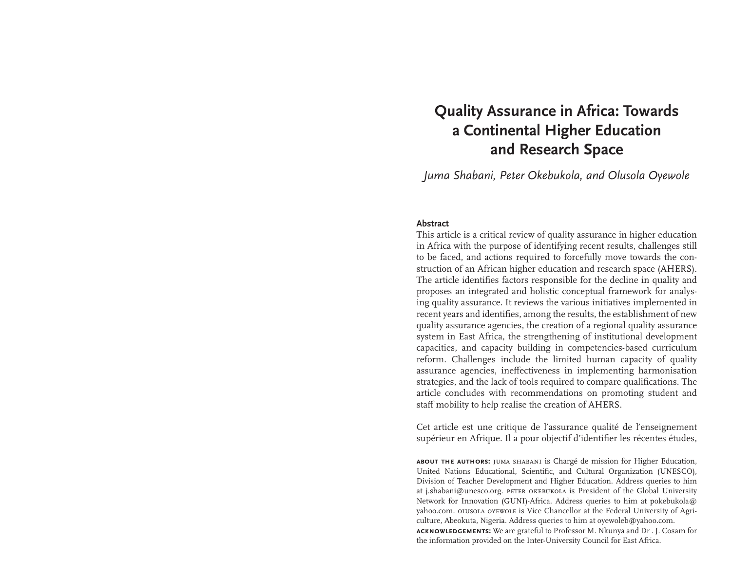# **Quality Assurance in Africa: Towards a Continental Higher Education and Research Space**

*Juma Shabani, Peter Okebukola, and Olusola Oyewole*

#### **Abstract**

This article is a critical review of quality assurance in higher education in Africa with the purpose of identifying recent results, challenges still to be faced, and actions required to forcefully move towards the construction of an African higher education and research space (AHERS). The article identifies factors responsible for the decline in quality and proposes an integrated and holistic conceptual framework for analysing quality assurance. It reviews the various initiatives implemented in recent years and identifies, among the results, the establishment of new quality assurance agencies, the creation of a regional quality assurance system in East Africa, the strengthening of institutional development capacities, and capacity building in competencies-based curriculum reform. Challenges include the limited human capacity of quality assurance agencies, ineffectiveness in implementing harmonisation strategies, and the lack of tools required to compare qualifications. The article concludes with recommendations on promoting student and staff mobility to help realise the creation of AHERS.

Cet article est une critique de l'assurance qualité de l'enseignement supérieur en Afrique. Il a pour objectif d'identifier les récentes études,

**about the authors:** juma shabani is Chargé de mission for Higher Education, United Nations Educational, Scientific, and Cultural Organization (UNESCO), Division of Teacher Development and Higher Education. Address queries to him at j.shabani@unesco.org. peter okebukola is President of the Global University Network for Innovation (GUNI)-Africa. Address queries to him at pokebukola@ yahoo.com. olusola oyewole is Vice Chancellor at the Federal University of Agriculture, Abeokuta, Nigeria. Address queries to him at oyewoleb@yahoo.com. **acknowledgements:** We are grateful to Professor M. Nkunya and Dr . J. Cosam for the information provided on the Inter-University Council for East Africa.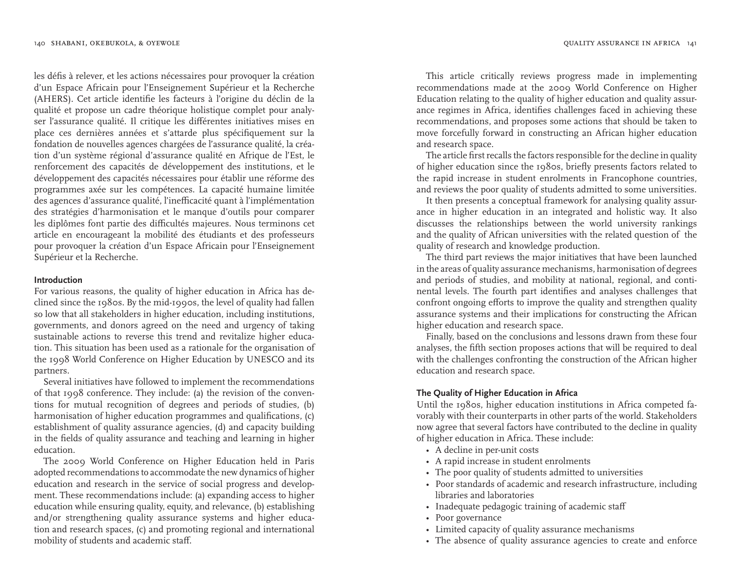les défis à relever, et les actions nécessaires pour provoquer la création d'un Espace Africain pour l'Enseignement Supérieur et la Recherche (AHERS). Cet article identifie les facteurs à l'origine du déclin de la qualité et propose un cadre théorique holistique complet pour analyser l'assurance qualité. Il critique les différentes initiatives mises en place ces dernières années et s'attarde plus spécifiquement sur la fondation de nouvelles agences chargées de l'assurance qualité, la création d'un système régional d'assurance qualité en Afrique de l'Est, le renforcement des capacités de développement des institutions, et le développement des capacités nécessaires pour établir une réforme des programmes axée sur les compétences. La capacité humaine limitée des agences d'assurance qualité, l'inefficacité quant à l'implémentation des stratégies d'harmonisation et le manque d'outils pour comparer les diplômes font partie des difficultés majeures. Nous terminons cet article en encourageant la mobilité des étudiants et des professeurs pour provoquer la création d'un Espace Africain pour l'Enseignement Supérieur et la Recherche.

#### **Introduction**

For various reasons, the quality of higher education in Africa has declined since the 1980s. By the mid-1990s, the level of quality had fallen so low that all stakeholders in higher education, including institutions, governments, and donors agreed on the need and urgency of taking sustainable actions to reverse this trend and revitalize higher education. This situation has been used as a rationale for the organisation of the 1998 World Conference on Higher Education by UNESCO and its partners.

Several initiatives have followed to implement the recommendations of that 1998 conference. They include: (a) the revision of the conventions for mutual recognition of degrees and periods of studies, (b) harmonisation of higher education programmes and qualifications, (c) establishment of quality assurance agencies, (d) and capacity building in the fields of quality assurance and teaching and learning in higher education.

The 2009 World Conference on Higher Education held in Paris adopted recommendations to accommodate the new dynamics of higher education and research in the service of social progress and development. These recommendations include: (a) expanding access to higher education while ensuring quality, equity, and relevance, (b) establishing and/or strengthening quality assurance systems and higher education and research spaces, (c) and promoting regional and international mobility of students and academic staff.

This article critically reviews progress made in implementing recommendations made at the 2009 World Conference on Higher Education relating to the quality of higher education and quality assurance regimes in Africa, identifies challenges faced in achieving these recommendations, and proposes some actions that should be taken to move forcefully forward in constructing an African higher education and research space.

The article first recalls the factors responsible for the decline in quality of higher education since the 1980s, briefly presents factors related to the rapid increase in student enrolments in Francophone countries, and reviews the poor quality of students admitted to some universities.

It then presents a conceptual framework for analysing quality assurance in higher education in an integrated and holistic way. It also discusses the relationships between the world university rankings and the quality of African universities with the related question of the quality of research and knowledge production.

The third part reviews the major initiatives that have been launched in the areas of quality assurance mechanisms, harmonisation of degrees and periods of studies, and mobility at national, regional, and continental levels. The fourth part identifies and analyses challenges that confront ongoing efforts to improve the quality and strengthen quality assurance systems and their implications for constructing the African higher education and research space.

Finally, based on the conclusions and lessons drawn from these four analyses, the fifth section proposes actions that will be required to deal with the challenges confronting the construction of the African higher education and research space.

## **The Quality of Higher Education in Africa**

Until the 1980s, higher education institutions in Africa competed favorably with their counterparts in other parts of the world. Stakeholders now agree that several factors have contributed to the decline in quality of higher education in Africa. These include:

- A decline in per-unit costs
- A rapid increase in student enrolments
- The poor quality of students admitted to universities
- Poor standards of academic and research infrastructure, including libraries and laboratories
- Inadequate pedagogic training of academic staff
- Poor governance
- Limited capacity of quality assurance mechanisms
- The absence of quality assurance agencies to create and enforce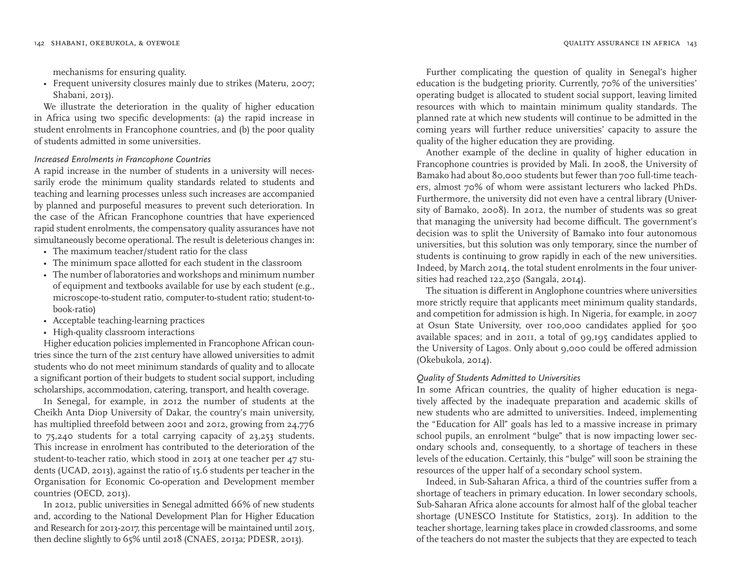mechanisms for ensuring quality.

• Frequent university closures mainly due to strikes (Materu, 2007; Shabani, 2013).

We illustrate the deterioration in the quality of higher education in Africa using two specific developments: (a) the rapid increase in student enrolments in Francophone countries, and (b) the poor quality of students admitted in some universities.

# *Increased Enrolments in Francophone Countries*

A rapid increase in the number of students in a university will necessarily erode the minimum quality standards related to students and teaching and learning processes unless such increases are accompanied by planned and purposeful measures to prevent such deterioration. In the case of the African Francophone countries that have experienced rapid student enrolments, the compensatory quality assurances have not simultaneously become operational. The result is deleterious changes in:

- The maximum teacher/student ratio for the class
- The minimum space allotted for each student in the classroom
- The number of laboratories and workshops and minimum number of equipment and textbooks available for use by each student (e.g., microscope-to-student ratio, computer-to-student ratio; student-tobook-ratio)
- Acceptable teaching-learning practices
- High-quality classroom interactions

Higher education policies implemented in Francophone African countries since the turn of the 21st century have allowed universities to admit students who do not meet minimum standards of quality and to allocate a significant portion of their budgets to student social support, including scholarships, accommodation, catering, transport, and health coverage.

In Senegal, for example, in 2012 the number of students at the Cheikh Anta Diop University of Dakar, the country's main university, has multiplied threefold between 2001 and 2012, growing from 24,776 to 75,240 students for a total carrying capacity of 23,253 students. This increase in enrolment has contributed to the deterioration of the student-to-teacher ratio, which stood in 2013 at one teacher per 47 students (UCAD, 2013), against the ratio of 15.6 students per teacher in the Organisation for Economic Co-operation and Development member countries (OECD, 2013).

In 2012, public universities in Senegal admitted 66% of new students and, according to the National Development Plan for Higher Education and Research for 2013-2017, this percentage will be maintained until 2015, then decline slightly to 65% until 2018 (CNAES, 2013a; PDESR, 2013).

Further complicating the question of quality in Senegal's higher education is the budgeting priority. Currently, 70% of the universities' operating budget is allocated to student social support, leaving limited resources with which to maintain minimum quality standards. The planned rate at which new students will continue to be admitted in the coming years will further reduce universities' capacity to assure the quality of the higher education they are providing.

Another example of the decline in quality of higher education in Francophone countries is provided by Mali. In 2008, the University of Bamako had about 80,000 students but fewer than 700 full-time teachers, almost 70% of whom were assistant lecturers who lacked PhDs. Furthermore, the university did not even have a central library (University of Bamako, 2008). In 2012, the number of students was so great that managing the university had become difficult. The government's decision was to split the University of Bamako into four autonomous universities, but this solution was only temporary, since the number of students is continuing to grow rapidly in each of the new universities. Indeed, by March 2014, the total student enrolments in the four universities had reached 122,250 (Sangala, 2014).

The situation is different in Anglophone countries where universities more strictly require that applicants meet minimum quality standards, and competition for admission is high. In Nigeria, for example, in 2007 at Osun State University, over 100,000 candidates applied for 500 available spaces; and in 2011, a total of 99,195 candidates applied to the University of Lagos. Only about 9,000 could be offered admission (Okebukola, 2014).

# *Quality of Students Admitted to Universities*

In some African countries, the quality of higher education is negatively affected by the inadequate preparation and academic skills of new students who are admitted to universities. Indeed, implementing the "Education for All" goals has led to a massive increase in primary school pupils, an enrolment "bulge" that is now impacting lower secondary schools and, consequently, to a shortage of teachers in these levels of the education. Certainly, this "bulge" will soon be straining the resources of the upper half of a secondary school system.

Indeed, in Sub-Saharan Africa, a third of the countries suffer from a shortage of teachers in primary education. In lower secondary schools, Sub-Saharan Africa alone accounts for almost half of the global teacher shortage (UNESCO Institute for Statistics, 2013). In addition to the teacher shortage, learning takes place in crowded classrooms, and some of the teachers do not master the subjects that they are expected to teach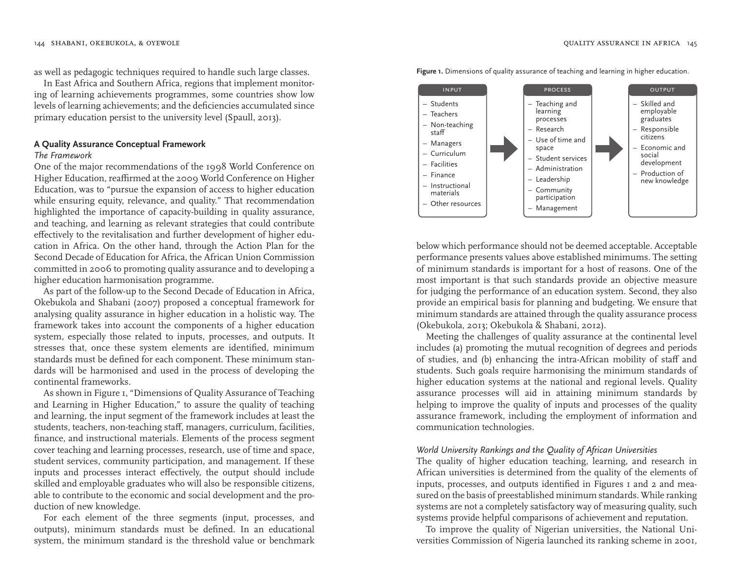as well as pedagogic techniques required to handle such large classes.

In East Africa and Southern Africa, regions that implement monitoring of learning achievements programmes, some countries show low levels of learning achievements; and the deficiencies accumulated since primary education persist to the university level (Spaull, 2013).

#### **A Quality Assurance Conceptual Framework**

#### *The Framework*

One of the major recommendations of the 1998 World Conference on Higher Education, reaffirmed at the 2009 World Conference on Higher Education, was to "pursue the expansion of access to higher education while ensuring equity, relevance, and quality." That recommendation highlighted the importance of capacity-building in quality assurance, and teaching, and learning as relevant strategies that could contribute effectively to the revitalisation and further development of higher education in Africa. On the other hand, through the Action Plan for the Second Decade of Education for Africa, the African Union Commission committed in 2006 to promoting quality assurance and to developing a higher education harmonisation programme.

As part of the follow-up to the Second Decade of Education in Africa, Okebukola and Shabani (2007) proposed a conceptual framework for analysing quality assurance in higher education in a holistic way. The framework takes into account the components of a higher education system, especially those related to inputs, processes, and outputs. It stresses that, once these system elements are identified, minimum standards must be defined for each component. These minimum standards will be harmonised and used in the process of developing the continental frameworks.

As shown in Figure 1, "Dimensions of Quality Assurance of Teaching and Learning in Higher Education," to assure the quality of teaching and learning, the input segment of the framework includes at least the students, teachers, non-teaching staff, managers, curriculum, facilities, finance, and instructional materials. Elements of the process segment cover teaching and learning processes, research, use of time and space, student services, community participation, and management. If these inputs and processes interact effectively, the output should include skilled and employable graduates who will also be responsible citizens, able to contribute to the economic and social development and the production of new knowledge.

For each element of the three segments (input, processes, and outputs), minimum standards must be defined. In an educational system, the minimum standard is the threshold value or benchmark



– Management

Figure 1. Dimensions of quality assurance of teaching and learning in higher education.

below which performance should not be deemed acceptable. Acceptable performance presents values above established minimums. The setting of minimum standards is important for a host of reasons. One of the most important is that such standards provide an objective measure for judging the performance of an education system. Second, they also provide an empirical basis for planning and budgeting. We ensure that minimum standards are attained through the quality assurance process (Okebukola, 2013; Okebukola & Shabani, 2012).

Meeting the challenges of quality assurance at the continental level includes (a) promoting the mutual recognition of degrees and periods of studies, and (b) enhancing the intra-African mobility of staff and students. Such goals require harmonising the minimum standards of higher education systems at the national and regional levels. Quality assurance processes will aid in attaining minimum standards by helping to improve the quality of inputs and processes of the quality assurance framework, including the employment of information and communication technologies.

#### *World University Rankings and the Quality of African Universities*

The quality of higher education teaching, learning, and research in African universities is determined from the quality of the elements of inputs, processes, and outputs identified in Figures 1 and 2 and measured on the basis of preestablished minimum standards. While ranking systems are not a completely satisfactory way of measuring quality, such systems provide helpful comparisons of achievement and reputation.

To improve the quality of Nigerian universities, the National Universities Commission of Nigeria launched its ranking scheme in 2001,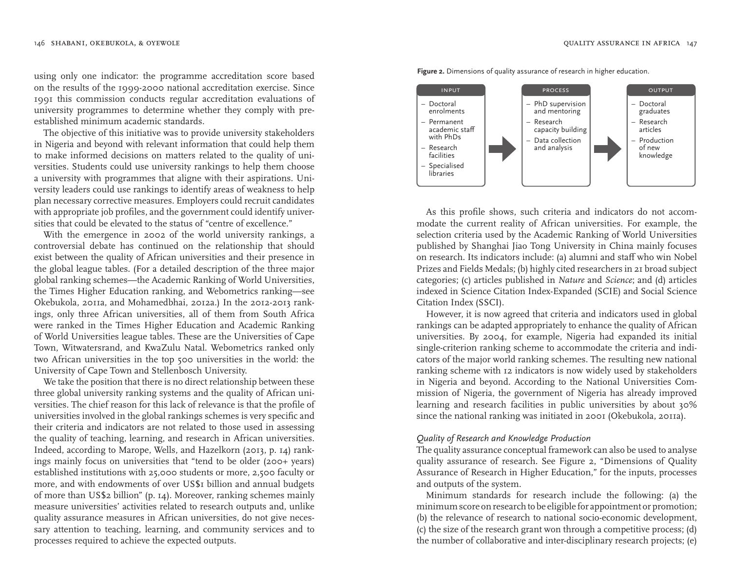using only one indicator: the programme accreditation score based on the results of the 1999-2000 national accreditation exercise. Since 1991 this commission conducts regular accreditation evaluations of university programmes to determine whether they comply with preestablished minimum academic standards.

The objective of this initiative was to provide university stakeholders in Nigeria and beyond with relevant information that could help them to make informed decisions on matters related to the quality of universities. Students could use university rankings to help them choose a university with programmes that aligne with their aspirations. University leaders could use rankings to identify areas of weakness to help plan necessary corrective measures. Employers could recruit candidates with appropriate job profiles, and the government could identify universities that could be elevated to the status of "centre of excellence."

With the emergence in 2002 of the world university rankings, a controversial debate has continued on the relationship that should exist between the quality of African universities and their presence in the global league tables. (For a detailed description of the three major global ranking schemes—the Academic Ranking of World Universities, the Times Higher Education ranking, and Webometrics ranking—see Okebukola, 2011a, and Mohamedbhai, 2012a.) In the 2012-2013 rankings, only three African universities, all of them from South Africa were ranked in the Times Higher Education and Academic Ranking of World Universities league tables. These are the Universities of Cape Town, Witwatersrand, and KwaZulu Natal. Webometrics ranked only two African universities in the top 500 universities in the world: the University of Cape Town and Stellenbosch University.

We take the position that there is no direct relationship between these three global university ranking systems and the quality of African universities. The chief reason for this lack of relevance is that the profile of universities involved in the global rankings schemes is very specific and their criteria and indicators are not related to those used in assessing the quality of teaching, learning, and research in African universities. Indeed, according to Marope, Wells, and Hazelkorn (2013, p. 14) rankings mainly focus on universities that "tend to be older (200+ years) established institutions with 25,000 students or more, 2,500 faculty or more, and with endowments of over US\$1 billion and annual budgets of more than US\$2 billion" (p. 14). Moreover, ranking schemes mainly measure universities' activities related to research outputs and, unlike quality assurance measures in African universities, do not give necessary attention to teaching, learning, and community services and to processes required to achieve the expected outputs.



As this profile shows, such criteria and indicators do not accommodate the current reality of African universities. For example, the selection criteria used by the Academic Ranking of World Universities published by Shanghai Jiao Tong University in China mainly focuses on research. Its indicators include: (a) alumni and staff who win Nobel Prizes and Fields Medals; (b) highly cited researchers in 21 broad subject categories; (c) articles published in *Nature* and *Science*; and (d) articles indexed in Science Citation Index-Expanded (SCIE) and Social Science Citation Index (SSCI).

However, it is now agreed that criteria and indicators used in global rankings can be adapted appropriately to enhance the quality of African universities. By 2004, for example, Nigeria had expanded its initial single-criterion ranking scheme to accommodate the criteria and indicators of the major world ranking schemes. The resulting new national ranking scheme with 12 indicators is now widely used by stakeholders in Nigeria and beyond. According to the National Universities Commission of Nigeria, the government of Nigeria has already improved learning and research facilities in public universities by about 30% since the national ranking was initiated in 2001 (Okebukola, 2011a).

#### *Quality of Research and Knowledge Production*

The quality assurance conceptual framework can also be used to analyse quality assurance of research. See Figure 2, "Dimensions of Quality Assurance of Research in Higher Education," for the inputs, processes and outputs of the system.

Minimum standards for research include the following: (a) the minimum score on research to be eligible for appointment or promotion; (b) the relevance of research to national socio-economic development, (c) the size of the research grant won through a competitive process; (d) the number of collaborative and inter-disciplinary research projects; (e)

**Figure 2.** Dimensions of quality assurance of research in higher education.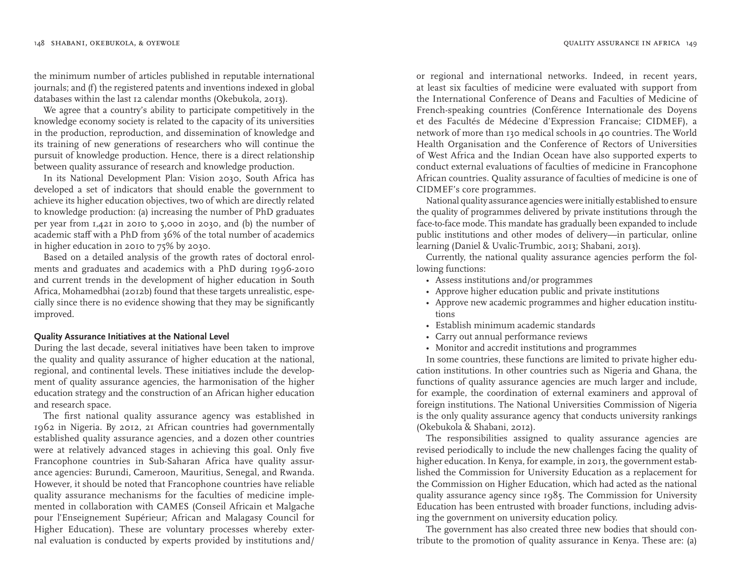the minimum number of articles published in reputable international journals; and (f) the registered patents and inventions indexed in global databases within the last 12 calendar months (Okebukola, 2013).

We agree that a country's ability to participate competitively in the knowledge economy society is related to the capacity of its universities in the production, reproduction, and dissemination of knowledge and its training of new generations of researchers who will continue the pursuit of knowledge production. Hence, there is a direct relationship between quality assurance of research and knowledge production.

In its National Development Plan: Vision 2030, South Africa has developed a set of indicators that should enable the government to achieve its higher education objectives, two of which are directly related to knowledge production: (a) increasing the number of PhD graduates per year from 1,421 in 2010 to 5,000 in 2030, and (b) the number of academic staff with a PhD from 36% of the total number of academics in higher education in 2010 to 75% by 2030.

Based on a detailed analysis of the growth rates of doctoral enrolments and graduates and academics with a PhD during 1996-2010 and current trends in the development of higher education in South Africa, Mohamedbhai (2012b) found that these targets unrealistic, especially since there is no evidence showing that they may be significantly improved.

#### **Quality Assurance Initiatives at the National Level**

During the last decade, several initiatives have been taken to improve the quality and quality assurance of higher education at the national, regional, and continental levels. These initiatives include the development of quality assurance agencies, the harmonisation of the higher education strategy and the construction of an African higher education and research space.

The first national quality assurance agency was established in 1962 in Nigeria. By 2012, 21 African countries had governmentally established quality assurance agencies, and a dozen other countries were at relatively advanced stages in achieving this goal. Only five Francophone countries in Sub-Saharan Africa have quality assurance agencies: Burundi, Cameroon, Mauritius, Senegal, and Rwanda. However, it should be noted that Francophone countries have reliable quality assurance mechanisms for the faculties of medicine implemented in collaboration with CAMES (Conseil Africain et Malgache pour l'Enseignement Supérieur; African and Malagasy Council for Higher Education). These are voluntary processes whereby external evaluation is conducted by experts provided by institutions and/

or regional and international networks. Indeed, in recent years, at least six faculties of medicine were evaluated with support from the International Conference of Deans and Faculties of Medicine of French-speaking countries (Conférence Internationale des Doyens et des Facultés de Médecine d'Expression Francaise; CIDMEF), a network of more than 130 medical schools in 40 countries. The World Health Organisation and the Conference of Rectors of Universities of West Africa and the Indian Ocean have also supported experts to conduct external evaluations of faculties of medicine in Francophone African countries. Quality assurance of faculties of medicine is one of CIDMEF's core programmes.

National quality assurance agencies were initially established to ensure the quality of programmes delivered by private institutions through the face-to-face mode. This mandate has gradually been expanded to include public institutions and other modes of delivery—in particular, online learning (Daniel & Uvalic-Trumbic, 2013; Shabani, 2013).

Currently, the national quality assurance agencies perform the following functions:

- Assess institutions and/or programmes
- Approve higher education public and private institutions
- Approve new academic programmes and higher education institutions
- Establish minimum academic standards
- Carry out annual performance reviews
- Monitor and accredit institutions and programmes

In some countries, these functions are limited to private higher education institutions. In other countries such as Nigeria and Ghana, the functions of quality assurance agencies are much larger and include, for example, the coordination of external examiners and approval of foreign institutions. The National Universities Commission of Nigeria is the only quality assurance agency that conducts university rankings (Okebukola & Shabani, 2012).

The responsibilities assigned to quality assurance agencies are revised periodically to include the new challenges facing the quality of higher education. In Kenya, for example, in 2013, the government established the Commission for University Education as a replacement for the Commission on Higher Education, which had acted as the national quality assurance agency since 1985. The Commission for University Education has been entrusted with broader functions, including advising the government on university education policy.

The government has also created three new bodies that should contribute to the promotion of quality assurance in Kenya. These are: (a)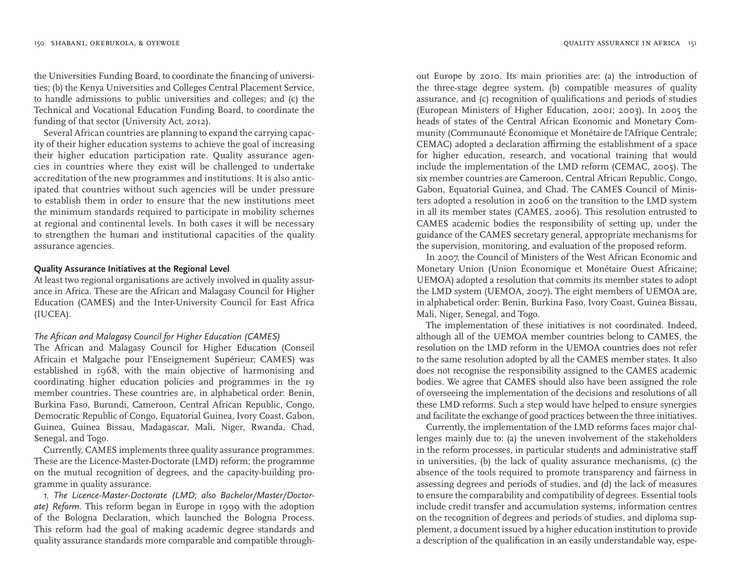the Universities Funding Board, to coordinate the financing of universities; (b) the Kenya Universities and Colleges Central Placement Service, to handle admissions to public universities and colleges; and (c) the Technical and Vocational Education Funding Board, to coordinate the funding of that sector (University Act, 2012).

Several African countries are planning to expand the carrying capacity of their higher education systems to achieve the goal of increasing their higher education participation rate. Quality assurance agencies in countries where they exist will be challenged to undertake accreditation of the new programmes and institutions. It is also anticipated that countries without such agencies will be under pressure to establish them in order to ensure that the new institutions meet the minimum standards required to participate in mobility schemes at regional and continental levels. In both cases it will be necessary to strengthen the human and institutional capacities of the quality assurance agencies.

#### **Quality Assurance Initiatives at the Regional Level**

At least two regional organisations are actively involved in quality assurance in Africa. These are the African and Malagasy Council for Higher Education (CAMES) and the Inter-University Council for East Africa (IUCEA).

## *The African and Malagasy Council for Higher Education (CAMES)*

The African and Malagasy Council for Higher Education (Conseil Africain et Malgache pour l'Enseignement Supérieur; CAMES) was established in 1968, with the main objective of harmonising and coordinating higher education policies and programmes in the 19 member countries. These countries are, in alphabetical order: Benin, Burkina Faso, Burundi, Cameroon, Central African Republic, Congo, Democratic Republic of Congo, Equatorial Guinea, Ivory Coast, Gabon, Guinea, Guinea Bissau, Madagascar, Mali, Niger, Rwanda, Chad, Senegal, and Togo.

Currently, CAMES implements three quality assurance programmes. These are the Licence-Master-Doctorate (LMD) reform; the programme on the mutual recognition of degrees, and the capacity-building programme in quality assurance.

*1. The Licence-Master-Doctorate (LMD; also Bachelor/Master/Doctorate) Reform.* This reform began in Europe in 1999 with the adoption of the Bologna Declaration, which launched the Bologna Process. This reform had the goal of making academic degree standards and quality assurance standards more comparable and compatible throughout Europe by 2010. Its main priorities are: (a) the introduction of the three-stage degree system, (b) compatible measures of quality assurance, and (c) recognition of qualifications and periods of studies (European Ministers of Higher Education, 2001; 2003). In 2005 the heads of states of the Central African Economic and Monetary Community (Communauté Économique et Monétaire de l'Afrique Centrale; CEMAC) adopted a declaration affirming the establishment of a space for higher education, research, and vocational training that would include the implementation of the LMD reform (CEMAC, 2005). The six member countries are Cameroon, Central African Republic, Congo, Gabon, Equatorial Guinea, and Chad. The CAMES Council of Ministers adopted a resolution in 2006 on the transition to the LMD system in all its member states (CAMES, 2006). This resolution entrusted to CAMES academic bodies the responsibility of setting up, under the guidance of the CAMES secretary general, appropriate mechanisms for the supervision, monitoring, and evaluation of the proposed reform.

In 2007, the Council of Ministers of the West African Economic and Monetary Union (Union Économique et Monétaire Ouest Africaine; UEMOA) adopted a resolution that commits its member states to adopt the LMD system (UEMOA, 2007). The eight members of UEMOA are, in alphabetical order: Benin, Burkina Faso, Ivory Coast, Guinea Bissau, Mali, Niger, Senegal, and Togo.

The implementation of these initiatives is not coordinated. Indeed, although all of the UEMOA member countries belong to CAMES, the resolution on the LMD reform in the UEMOA countries does not refer to the same resolution adopted by all the CAMES member states. It also does not recognise the responsibility assigned to the CAMES academic bodies. We agree that CAMES should also have been assigned the role of overseeing the implementation of the decisions and resolutions of all these LMD reforms. Such a step would have helped to ensure synergies and facilitate the exchange of good practices between the three initiatives.

Currently, the implementation of the LMD reforms faces major challenges mainly due to: (a) the uneven involvement of the stakeholders in the reform processes, in particular students and administrative staff in universities, (b) the lack of quality assurance mechanisms, (c) the absence of the tools required to promote transparency and fairness in assessing degrees and periods of studies, and (d) the lack of measures to ensure the comparability and compatibility of degrees. Essential tools include credit transfer and accumulation systems, information centres on the recognition of degrees and periods of studies, and diploma supplement, a document issued by a higher education institution to provide a description of the qualification in an easily understandable way, espe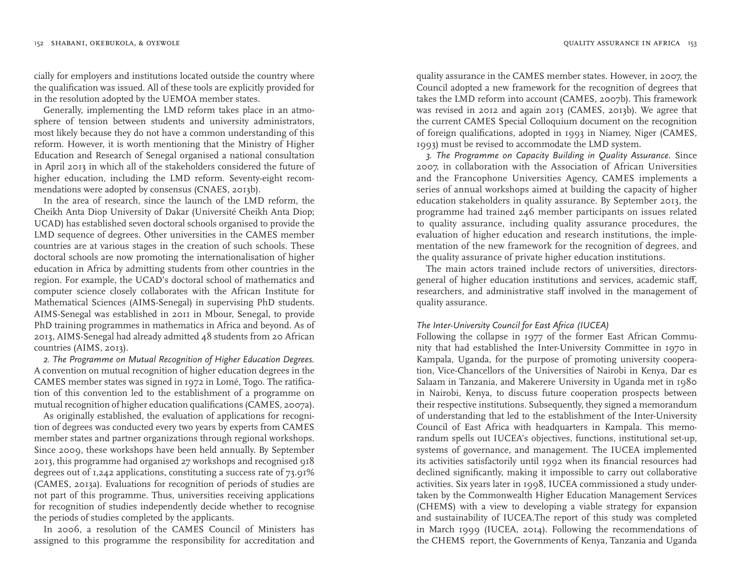cially for employers and institutions located outside the country where the qualification was issued. All of these tools are explicitly provided for in the resolution adopted by the UEMOA member states.

Generally, implementing the LMD reform takes place in an atmosphere of tension between students and university administrators, most likely because they do not have a common understanding of this reform. However, it is worth mentioning that the Ministry of Higher Education and Research of Senegal organised a national consultation in April 2013 in which all of the stakeholders considered the future of higher education, including the LMD reform. Seventy-eight recommendations were adopted by consensus (CNAES, 2013b).

In the area of research, since the launch of the LMD reform, the Cheikh Anta Diop University of Dakar (Université Cheikh Anta Diop; UCAD) has established seven doctoral schools organised to provide the LMD sequence of degrees. Other universities in the CAMES member countries are at various stages in the creation of such schools. These doctoral schools are now promoting the internationalisation of higher education in Africa by admitting students from other countries in the region. For example, the UCAD's doctoral school of mathematics and computer science closely collaborates with the African Institute for Mathematical Sciences (AIMS-Senegal) in supervising PhD students. AIMS-Senegal was established in 2011 in Mbour, Senegal, to provide PhD training programmes in mathematics in Africa and beyond. As of 2013, AIMS-Senegal had already admitted 48 students from 20 African countries (AIMS, 2013).

*2. The Programme on Mutual Recognition of Higher Education Degrees.*  A convention on mutual recognition of higher education degrees in the CAMES member states was signed in 1972 in Lomé, Togo. The ratification of this convention led to the establishment of a programme on mutual recognition of higher education qualifications (CAMES, 2007a).

As originally established, the evaluation of applications for recognition of degrees was conducted every two years by experts from CAMES member states and partner organizations through regional workshops. Since 2009, these workshops have been held annually. By September 2013, this programme had organised 27 workshops and recognised 918 degrees out of 1,242 applications, constituting a success rate of 73.91% (CAMES, 2013a). Evaluations for recognition of periods of studies are not part of this programme. Thus, universities receiving applications for recognition of studies independently decide whether to recognise the periods of studies completed by the applicants.

In 2006, a resolution of the CAMES Council of Ministers has assigned to this programme the responsibility for accreditation and

quality assurance in the CAMES member states. However, in 2007, the Council adopted a new framework for the recognition of degrees that takes the LMD reform into account (CAMES, 2007b). This framework was revised in 2012 and again 2013 (CAMES, 2013b). We agree that the current CAMES Special Colloquium document on the recognition of foreign qualifications, adopted in 1993 in Niamey, Niger (CAMES, 1993) must be revised to accommodate the LMD system.

*3. The Programme on Capacity Building in Quality Assurance.* Since 2007, in collaboration with the Association of African Universities and the Francophone Universities Agency, CAMES implements a series of annual workshops aimed at building the capacity of higher education stakeholders in quality assurance. By September 2013, the programme had trained 246 member participants on issues related to quality assurance, including quality assurance procedures, the evaluation of higher education and research institutions, the implementation of the new framework for the recognition of degrees, and the quality assurance of private higher education institutions.

The main actors trained include rectors of universities, directorsgeneral of higher education institutions and services, academic staff, researchers, and administrative staff involved in the management of quality assurance.

#### *The Inter-University Council for East Africa (IUCEA)*

Following the collapse in 1977 of the former East African Community that had established the Inter-University Committee in 1970 in Kampala, Uganda, for the purpose of promoting university cooperation, Vice-Chancellors of the Universities of Nairobi in Kenya, Dar es Salaam in Tanzania, and Makerere University in Uganda met in 1980 in Nairobi, Kenya, to discuss future cooperation prospects between their respective institutions. Subsequently, they signed a memorandum of understanding that led to the establishment of the Inter-University Council of East Africa with headquarters in Kampala. This memorandum spells out IUCEA's objectives, functions, institutional set-up, systems of governance, and management. The IUCEA implemented its activities satisfactorily until 1992 when its financial resources had declined significantly, making it impossible to carry out collaborative activities. Six years later in 1998, IUCEA commissioned a study undertaken by the Commonwealth Higher Education Management Services (CHEMS) with a view to developing a viable strategy for expansion and sustainability of IUCEA.The report of this study was completed in March 1999 (IUCEA, 2014). Following the recommendations of the CHEMS report, the Governments of Kenya, Tanzania and Uganda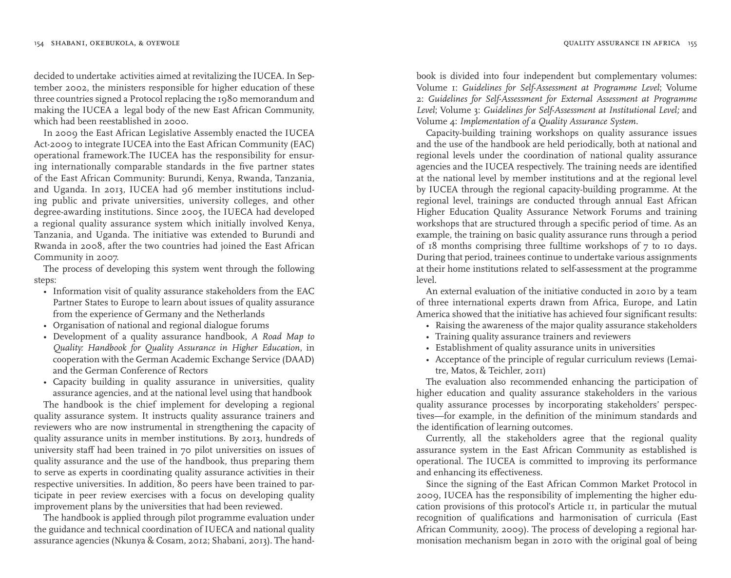decided to undertake activities aimed at revitalizing the IUCEA. In September 2002, the ministers responsible for higher education of these three countries signed a Protocol replacing the 1980 memorandum and making the IUCEA a legal body of the new East African Community, which had been reestablished in 2000.

In 2009 the East African Legislative Assembly enacted the IUCEA Act-2009 to integrate IUCEA into the East African Community (EAC) operational framework.The IUCEA has the responsibility for ensuring internationally comparable standards in the five partner states of the East African Community: Burundi, Kenya, Rwanda, Tanzania, and Uganda. In 2013, IUCEA had 96 member institutions including public and private universities, university colleges, and other degree-awarding institutions. Since 2005, the IUECA had developed a regional quality assurance system which initially involved Kenya, Tanzania, and Uganda. The initiative was extended to Burundi and Rwanda in 2008, after the two countries had joined the East African Community in 2007.

The process of developing this system went through the following steps:

- Information visit of quality assurance stakeholders from the EAC Partner States to Europe to learn about issues of quality assurance from the experience of Germany and the Netherlands
- Organisation of national and regional dialogue forums
- Development of a quality assurance handbook, *A Road Map to Quality: Handbook for Quality Assurance in Higher Education*, in cooperation with the German Academic Exchange Service (DAAD) and the German Conference of Rectors
- Capacity building in quality assurance in universities, quality assurance agencies, and at the national level using that handbook

The handbook is the chief implement for developing a regional quality assurance system. It instructs quality assurance trainers and reviewers who are now instrumental in strengthening the capacity of quality assurance units in member institutions. By 2013, hundreds of university staff had been trained in 70 pilot universities on issues of quality assurance and the use of the handbook, thus preparing them to serve as experts in coordinating quality assurance activities in their respective universities. In addition, 80 peers have been trained to participate in peer review exercises with a focus on developing quality improvement plans by the universities that had been reviewed.

The handbook is applied through pilot programme evaluation under the guidance and technical coordination of IUECA and national quality assurance agencies (Nkunya & Cosam, 2012; Shabani, 2013). The handbook is divided into four independent but complementary volumes: Volume 1: *Guidelines for Self-Assessment at Programme Level*; Volume 2: *Guidelines for Self-Assessment for External Assessment at Programme Level*; Volume 3: *Guidelines for Self-Assessment at Institutional Level;* and Volume 4: *Implementation of a Quality Assurance System.*

Capacity-building training workshops on quality assurance issues and the use of the handbook are held periodically, both at national and regional levels under the coordination of national quality assurance agencies and the IUCEA respectively. The training needs are identified at the national level by member institutions and at the regional level by IUCEA through the regional capacity-building programme. At the regional level, trainings are conducted through annual East African Higher Education Quality Assurance Network Forums and training workshops that are structured through a specific period of time. As an example, the training on basic quality assurance runs through a period of 18 months comprising three fulltime workshops of 7 to 10 days. During that period, trainees continue to undertake various assignments at their home institutions related to self-assessment at the programme level.

An external evaluation of the initiative conducted in 2010 by a team of three international experts drawn from Africa, Europe, and Latin America showed that the initiative has achieved four significant results:

- Raising the awareness of the major quality assurance stakeholders
- Training quality assurance trainers and reviewers
- Establishment of quality assurance units in universities
- Acceptance of the principle of regular curriculum reviews (Lemaitre, Matos, & Teichler, 2011)

The evaluation also recommended enhancing the participation of higher education and quality assurance stakeholders in the various quality assurance processes by incorporating stakeholders' perspectives—for example, in the definition of the minimum standards and the identification of learning outcomes.

Currently, all the stakeholders agree that the regional quality assurance system in the East African Community as established is operational. The IUCEA is committed to improving its performance and enhancing its effectiveness.

Since the signing of the East African Common Market Protocol in 2009, IUCEA has the responsibility of implementing the higher education provisions of this protocol's Article 11, in particular the mutual recognition of qualifications and harmonisation of curricula (East African Community, 2009). The process of developing a regional harmonisation mechanism began in 2010 with the original goal of being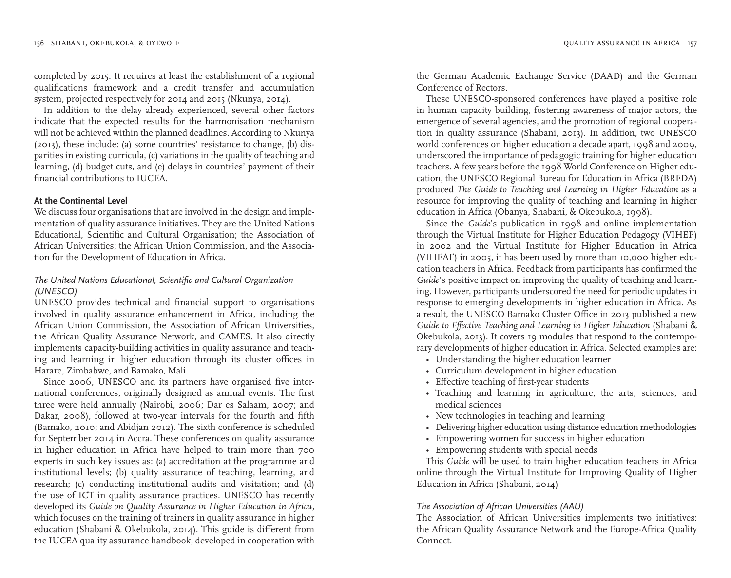completed by 2015. It requires at least the establishment of a regional qualifications framework and a credit transfer and accumulation system, projected respectively for 2014 and 2015 (Nkunya, 2014).

In addition to the delay already experienced, several other factors indicate that the expected results for the harmonisation mechanism will not be achieved within the planned deadlines. According to Nkunya (2013), these include: (a) some countries' resistance to change, (b) disparities in existing curricula, (c) variations in the quality of teaching and learning, (d) budget cuts, and (e) delays in countries' payment of their financial contributions to IUCEA.

# **At the Continental Level**

We discuss four organisations that are involved in the design and implementation of quality assurance initiatives. They are the United Nations Educational, Scientific and Cultural Organisation; the Association of African Universities; the African Union Commission, and the Association for the Development of Education in Africa.

# *The United Nations Educational, Scientific and Cultural Organization (UNESCO)*

UNESCO provides technical and financial support to organisations involved in quality assurance enhancement in Africa, including the African Union Commission, the Association of African Universities, the African Quality Assurance Network, and CAMES. It also directly implements capacity-building activities in quality assurance and teaching and learning in higher education through its cluster offices in Harare, Zimbabwe, and Bamako, Mali.

Since 2006, UNESCO and its partners have organised five international conferences, originally designed as annual events. The first three were held annually (Nairobi, 2006; Dar es Salaam, 2007; and Dakar, 2008), followed at two-year intervals for the fourth and fifth (Bamako, 2010; and Abidjan 2012). The sixth conference is scheduled for September 2014 in Accra. These conferences on quality assurance in higher education in Africa have helped to train more than 700 experts in such key issues as: (a) accreditation at the programme and institutional levels; (b) quality assurance of teaching, learning, and research; (c) conducting institutional audits and visitation; and (d) the use of ICT in quality assurance practices. UNESCO has recently developed its *Guide on Quality Assurance in Higher Education in Africa,*  which focuses on the training of trainers in quality assurance in higher education (Shabani & Okebukola, 2014). This guide is different from the IUCEA quality assurance handbook, developed in cooperation with

the German Academic Exchange Service (DAAD) and the German Conference of Rectors.

These UNESCO-sponsored conferences have played a positive role in human capacity building, fostering awareness of major actors, the emergence of several agencies, and the promotion of regional cooperation in quality assurance (Shabani, 2013). In addition, two UNESCO world conferences on higher education a decade apart, 1998 and 2009, underscored the importance of pedagogic training for higher education teachers. A few years before the 1998 World Conference on Higher education, the UNESCO Regional Bureau for Education in Africa (BREDA) produced *The Guide to Teaching and Learning in Higher Education* as a resource for improving the quality of teaching and learning in higher education in Africa (Obanya, Shabani, & Okebukola, 1998).

Since the *Guide*'s publication in 1998 and online implementation through the Virtual Institute for Higher Education Pedagogy (VIHEP) in 2002 and the Virtual Institute for Higher Education in Africa (VIHEAF) in 2005, it has been used by more than 10,000 higher education teachers in Africa. Feedback from participants has confirmed the *Guide*'s positive impact on improving the quality of teaching and learning. However, participants underscored the need for periodic updates in response to emerging developments in higher education in Africa. As a result, the UNESCO Bamako Cluster Office in 2013 published a new *Guide to Effective Teaching and Learning in Higher Education* (Shabani & Okebukola, 2013). It covers 19 modules that respond to the contemporary developments of higher education in Africa. Selected examples are:

- Understanding the higher education learner
- Curriculum development in higher education
- Effective teaching of first-year students
- Teaching and learning in agriculture, the arts, sciences, and medical sciences
- New technologies in teaching and learning
- Delivering higher education using distance education methodologies
- Empowering women for success in higher education
- Empowering students with special needs

This *Guide* will be used to train higher education teachers in Africa online through the Virtual Institute for Improving Quality of Higher Education in Africa (Shabani, 2014)

# *The Association of African Universities (AAU)*

The Association of African Universities implements two initiatives: the African Quality Assurance Network and the Europe-Africa Quality Connect.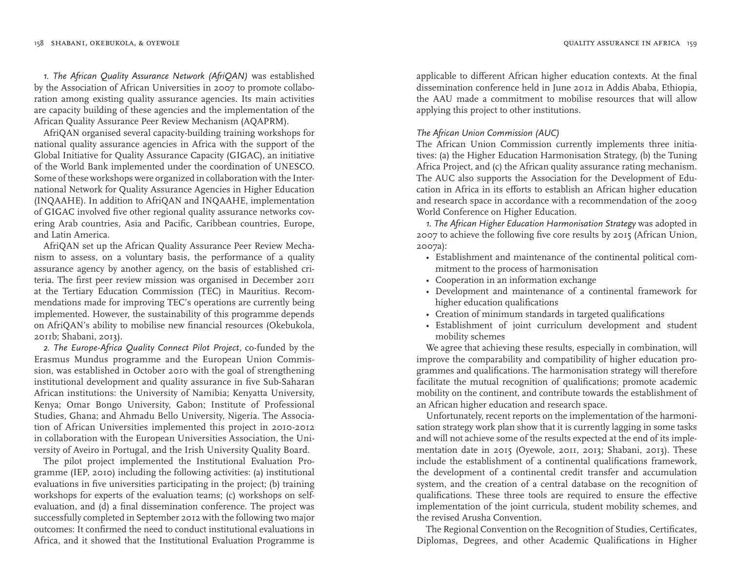*1. The African Quality Assurance Network (AfriQAN)* was established by the Association of African Universities in 2007 to promote collaboration among existing quality assurance agencies. Its main activities are capacity building of these agencies and the implementation of the African Quality Assurance Peer Review Mechanism (AQAPRM).

AfriQAN organised several capacity-building training workshops for national quality assurance agencies in Africa with the support of the Global Initiative for Quality Assurance Capacity (GIGAC), an initiative of the World Bank implemented under the coordination of UNESCO. Some of these workshops were organized in collaboration with the International Network for Quality Assurance Agencies in Higher Education (INQAAHE). In addition to AfriQAN and INQAAHE, implementation of GIGAC involved five other regional quality assurance networks covering Arab countries, Asia and Pacific, Caribbean countries, Europe, and Latin America.

AfriQAN set up the African Quality Assurance Peer Review Mechanism to assess, on a voluntary basis, the performance of a quality assurance agency by another agency, on the basis of established criteria. The first peer review mission was organised in December 2011 at the Tertiary Education Commission (TEC) in Mauritius. Recommendations made for improving TEC's operations are currently being implemented. However, the sustainability of this programme depends on AfriQAN's ability to mobilise new financial resources (Okebukola, 2011b; Shabani, 2013).

*2. The Europe-Africa Quality Connect Pilot Project*, co-funded by the Erasmus Mundus programme and the European Union Commission, was established in October 2010 with the goal of strengthening institutional development and quality assurance in five Sub-Saharan African institutions: the University of Namibia; Kenyatta University, Kenya; Omar Bongo University, Gabon; Institute of Professional Studies, Ghana; and Ahmadu Bello University, Nigeria. The Association of African Universities implemented this project in 2010-2012 in collaboration with the European Universities Association, the University of Aveiro in Portugal, and the Irish University Quality Board.

The pilot project implemented the Institutional Evaluation Programme (IEP, 2010) including the following activities: (a) institutional evaluations in five universities participating in the project; (b) training workshops for experts of the evaluation teams; (c) workshops on selfevaluation, and (d) a final dissemination conference. The project was successfully completed in September 2012 with the following two major outcomes: It confirmed the need to conduct institutional evaluations in Africa, and it showed that the Institutional Evaluation Programme is

applicable to different African higher education contexts. At the final dissemination conference held in June 2012 in Addis Ababa, Ethiopia, the AAU made a commitment to mobilise resources that will allow applying this project to other institutions.

#### *The African Union Commission (AUC)*

The African Union Commission currently implements three initiatives: (a) the Higher Education Harmonisation Strategy, (b) the Tuning Africa Project, and (c) the African quality assurance rating mechanism. The AUC also supports the Association for the Development of Education in Africa in its efforts to establish an African higher education and research space in accordance with a recommendation of the 2009 World Conference on Higher Education.

*1. The African Higher Education Harmonisation Strategy* was adopted in 2007 to achieve the following five core results by 2015 (African Union, 2007a):

- Establishment and maintenance of the continental political commitment to the process of harmonisation
- Cooperation in an information exchange
- Development and maintenance of a continental framework for higher education qualifications
- Creation of minimum standards in targeted qualifications
- Establishment of joint curriculum development and student mobility schemes

We agree that achieving these results, especially in combination, will improve the comparability and compatibility of higher education programmes and qualifications. The harmonisation strategy will therefore facilitate the mutual recognition of qualifications; promote academic mobility on the continent, and contribute towards the establishment of an African higher education and research space.

Unfortunately, recent reports on the implementation of the harmonisation strategy work plan show that it is currently lagging in some tasks and will not achieve some of the results expected at the end of its implementation date in 2015 (Oyewole, 2011, 2013; Shabani, 2013). These include the establishment of a continental qualifications framework, the development of a continental credit transfer and accumulation system, and the creation of a central database on the recognition of qualifications. These three tools are required to ensure the effective implementation of the joint curricula, student mobility schemes, and the revised Arusha Convention.

The Regional Convention on the Recognition of Studies, Certificates, Diplomas, Degrees, and other Academic Qualifications in Higher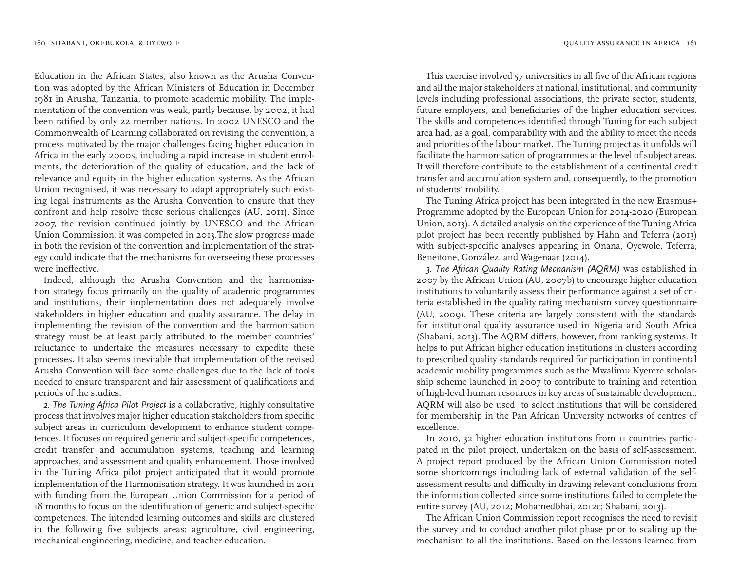Education in the African States, also known as the Arusha Convention was adopted by the African Ministers of Education in December 1981 in Arusha, Tanzania, to promote academic mobility. The implementation of the convention was weak, partly because, by 2002, it had been ratified by only 22 member nations. In 2002 UNESCO and the Commonwealth of Learning collaborated on revising the convention, a process motivated by the major challenges facing higher education in Africa in the early 2000s, including a rapid increase in student enrolments, the deterioration of the quality of education, and the lack of relevance and equity in the higher education systems. As the African Union recognised, it was necessary to adapt appropriately such existing legal instruments as the Arusha Convention to ensure that they confront and help resolve these serious challenges (AU, 2011). Since 2007, the revision continued jointly by UNESCO and the African Union Commission; it was competed in 2013.The slow progress made in both the revision of the convention and implementation of the strategy could indicate that the mechanisms for overseeing these processes were ineffective.

Indeed, although the Arusha Convention and the harmonisation strategy focus primarily on the quality of academic programmes and institutions, their implementation does not adequately involve stakeholders in higher education and quality assurance. The delay in implementing the revision of the convention and the harmonisation strategy must be at least partly attributed to the member countries' reluctance to undertake the measures necessary to expedite these processes. It also seems inevitable that implementation of the revised Arusha Convention will face some challenges due to the lack of tools needed to ensure transparent and fair assessment of qualifications and periods of the studies.

*2. The Tuning Africa Pilot Project* is a collaborative, highly consultative process that involves major higher education stakeholders from specific subject areas in curriculum development to enhance student competences. It focuses on required generic and subject-specific competences, credit transfer and accumulation systems, teaching and learning approaches, and assessment and quality enhancement. Those involved in the Tuning Africa pilot project anticipated that it would promote implementation of the Harmonisation strategy. It was launched in 2011 with funding from the European Union Commission for a period of 18 months to focus on the identification of generic and subject-specific competences. The intended learning outcomes and skills are clustered in the following five subjects areas: agriculture, civil engineering, mechanical engineering, medicine, and teacher education.

This exercise involved 57 universities in all five of the African regions and all the major stakeholders at national, institutional, and community levels including professional associations, the private sector, students, future employers, and beneficiaries of the higher education services. The skills and competences identified through Tuning for each subject area had, as a goal, comparability with and the ability to meet the needs and priorities of the labour market. The Tuning project as it unfolds will facilitate the harmonisation of programmes at the level of subject areas. It will therefore contribute to the establishment of a continental credit transfer and accumulation system and, consequently, to the promotion of students' mobility.

The Tuning Africa project has been integrated in the new Erasmus+ Programme adopted by the European Union for 2014-2020 (European Union, 2013). A detailed analysis on the experience of the Tuning Africa pilot project has been recently published by Hahn and Teferra (2013) with subject-specific analyses appearing in Onana, Oyewole, Teferra, Beneitone, González, and Wagenaar (2014).

*3. The African Quality Rating Mechanism (AQRM)* was established in 2007 by the African Union (AU, 2007b) to encourage higher education institutions to voluntarily assess their performance against a set of criteria established in the quality rating mechanism survey questionnaire (AU, 2009). These criteria are largely consistent with the standards for institutional quality assurance used in Nigeria and South Africa (Shabani, 2013). The AQRM differs, however, from ranking systems. It helps to put African higher education institutions in clusters according to prescribed quality standards required for participation in continental academic mobility programmes such as the Mwalimu Nyerere scholarship scheme launched in 2007 to contribute to training and retention of high-level human resources in key areas of sustainable development. AQRM will also be used to select institutions that will be considered for membership in the Pan African University networks of centres of excellence.

In 2010, 32 higher education institutions from 11 countries participated in the pilot project, undertaken on the basis of self-assessment. A project report produced by the African Union Commission noted some shortcomings including lack of external validation of the selfassessment results and difficulty in drawing relevant conclusions from the information collected since some institutions failed to complete the entire survey (AU, 2012; Mohamedbhai, 2012c; Shabani, 2013).

The African Union Commission report recognises the need to revisit the survey and to conduct another pilot phase prior to scaling up the mechanism to all the institutions. Based on the lessons learned from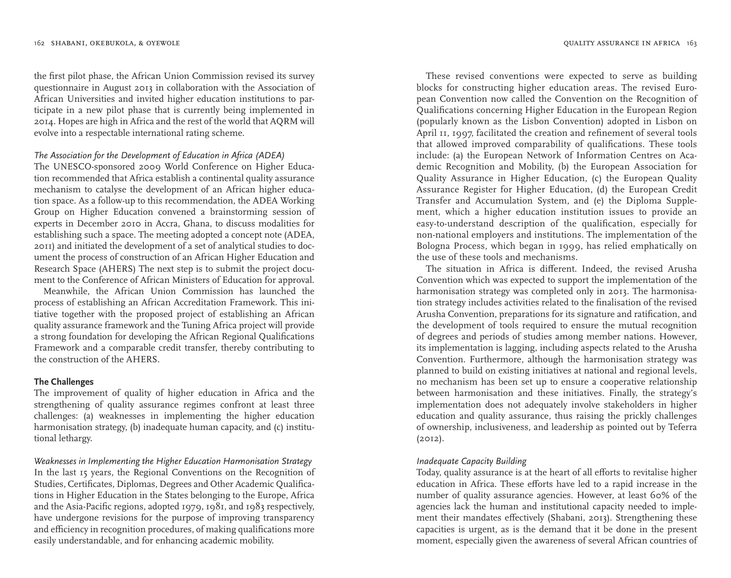the first pilot phase, the African Union Commission revised its survey questionnaire in August 2013 in collaboration with the Association of African Universities and invited higher education institutions to participate in a new pilot phase that is currently being implemented in 2014. Hopes are high in Africa and the rest of the world that AQRM will evolve into a respectable international rating scheme.

#### *The Association for the Development of Education in Africa (ADEA)*

The UNESCO-sponsored 2009 World Conference on Higher Education recommended that Africa establish a continental quality assurance mechanism to catalyse the development of an African higher education space. As a follow-up to this recommendation, the ADEA Working Group on Higher Education convened a brainstorming session of experts in December 2010 in Accra, Ghana, to discuss modalities for establishing such a space. The meeting adopted a concept note (ADEA, 2011) and initiated the development of a set of analytical studies to document the process of construction of an African Higher Education and Research Space (AHERS) The next step is to submit the project document to the Conference of African Ministers of Education for approval.

Meanwhile, the African Union Commission has launched the process of establishing an African Accreditation Framework. This initiative together with the proposed project of establishing an African quality assurance framework and the Tuning Africa project will provide a strong foundation for developing the African Regional Qualifications Framework and a comparable credit transfer, thereby contributing to the construction of the AHERS.

#### **The Challenges**

The improvement of quality of higher education in Africa and the strengthening of quality assurance regimes confront at least three challenges: (a) weaknesses in implementing the higher education harmonisation strategy, (b) inadequate human capacity, and (c) institutional lethargy.

*Weaknesses in Implementing the Higher Education Harmonisation Strategy* In the last 15 years, the Regional Conventions on the Recognition of Studies, Certificates, Diplomas, Degrees and Other Academic Qualifications in Higher Education in the States belonging to the Europe, Africa and the Asia-Pacific regions, adopted 1979, 1981, and 1983 respectively, have undergone revisions for the purpose of improving transparency and efficiency in recognition procedures, of making qualifications more easily understandable, and for enhancing academic mobility.

These revised conventions were expected to serve as building blocks for constructing higher education areas. The revised European Convention now called the Convention on the Recognition of Qualifications concerning Higher Education in the European Region (popularly known as the Lisbon Convention) adopted in Lisbon on April 11, 1997, facilitated the creation and refinement of several tools that allowed improved comparability of qualifications. These tools include: (a) the European Network of Information Centres on Academic Recognition and Mobility, (b) the European Association for Quality Assurance in Higher Education, (c) the European Quality Assurance Register for Higher Education, (d) the European Credit Transfer and Accumulation System, and (e) the Diploma Supplement, which a higher education institution issues to provide an easy-to-understand description of the qualification, especially for non-national employers and institutions. The implementation of the Bologna Process, which began in 1999, has relied emphatically on the use of these tools and mechanisms.

The situation in Africa is different. Indeed, the revised Arusha Convention which was expected to support the implementation of the harmonisation strategy was completed only in 2013. The harmonisation strategy includes activities related to the finalisation of the revised Arusha Convention, preparations for its signature and ratification, and the development of tools required to ensure the mutual recognition of degrees and periods of studies among member nations. However, its implementation is lagging, including aspects related to the Arusha Convention. Furthermore, although the harmonisation strategy was planned to build on existing initiatives at national and regional levels, no mechanism has been set up to ensure a cooperative relationship between harmonisation and these initiatives. Finally, the strategy's implementation does not adequately involve stakeholders in higher education and quality assurance, thus raising the prickly challenges of ownership, inclusiveness, and leadership as pointed out by Teferra (2012).

#### *Inadequate Capacity Building*

Today, quality assurance is at the heart of all efforts to revitalise higher education in Africa. These efforts have led to a rapid increase in the number of quality assurance agencies. However, at least 60% of the agencies lack the human and institutional capacity needed to implement their mandates effectively (Shabani, 2013). Strengthening these capacities is urgent, as is the demand that it be done in the present moment, especially given the awareness of several African countries of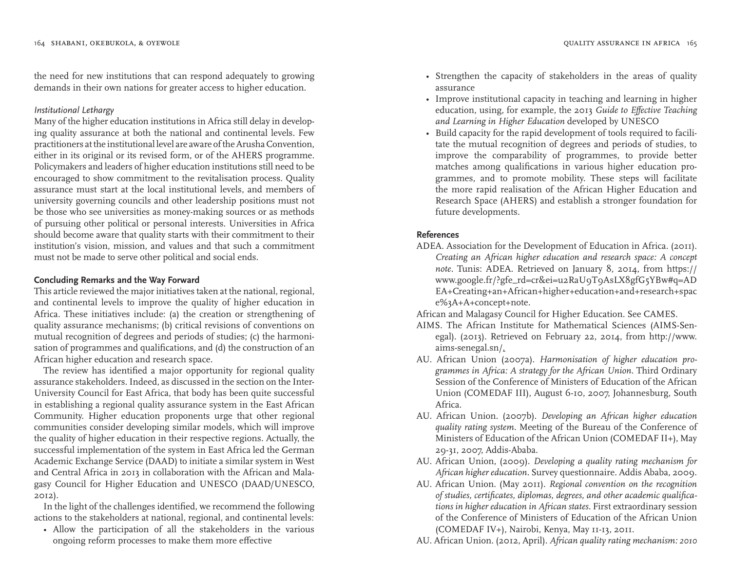the need for new institutions that can respond adequately to growing demands in their own nations for greater access to higher education.

#### *Institutional Lethargy*

Many of the higher education institutions in Africa still delay in developing quality assurance at both the national and continental levels. Few practitioners at the institutional level are aware of the Arusha Convention, either in its original or its revised form, or of the AHERS programme. Policymakers and leaders of higher education institutions still need to be encouraged to show commitment to the revitalisation process. Quality assurance must start at the local institutional levels, and members of university governing councils and other leadership positions must not be those who see universities as money-making sources or as methods of pursuing other political or personal interests. Universities in Africa should become aware that quality starts with their commitment to their institution's vision, mission, and values and that such a commitment must not be made to serve other political and social ends.

# **Concluding Remarks and the Way Forward**

This article reviewed the major initiatives taken at the national, regional, and continental levels to improve the quality of higher education in Africa. These initiatives include: (a) the creation or strengthening of quality assurance mechanisms; (b) critical revisions of conventions on mutual recognition of degrees and periods of studies; (c) the harmonisation of programmes and qualifications, and (d) the construction of an African higher education and research space.

The review has identified a major opportunity for regional quality assurance stakeholders. Indeed, as discussed in the section on the Inter-University Council for East Africa, that body has been quite successful in establishing a regional quality assurance system in the East African Community. Higher education proponents urge that other regional communities consider developing similar models, which will improve the quality of higher education in their respective regions. Actually, the successful implementation of the system in East Africa led the German Academic Exchange Service (DAAD) to initiate a similar system in West and Central Africa in 2013 in collaboration with the African and Malagasy Council for Higher Education and UNESCO (DAAD/UNESCO, 2012).

In the light of the challenges identified, we recommend the following actions to the stakeholders at national, regional, and continental levels:

• Allow the participation of all the stakeholders in the various ongoing reform processes to make them more effective

- Strengthen the capacity of stakeholders in the areas of quality assurance
- Improve institutional capacity in teaching and learning in higher education, using, for example, the 2013 *Guide to Effective Teaching and Learning in Higher Education* developed by UNESCO
- Build capacity for the rapid development of tools required to facilitate the mutual recognition of degrees and periods of studies, to improve the comparability of programmes, to provide better matches among qualifications in various higher education programmes, and to promote mobility. These steps will facilitate the more rapid realisation of the African Higher Education and Research Space (AHERS) and establish a stronger foundation for future developments.

# **References**

ADEA. Association for the Development of Education in Africa. (2011). *Creating an African higher education and research space: A concept note.* Tunis: ADEA. Retrieved on January 8, 2014, from https:// www.google.fr/?gfe\_rd=cr&ei=u2RaU9T9AsLX8gfG5YBw#q=AD EA+Creating+an+African+higher+education+and+research+spac e%3A+A+concept+note.

African and Malagasy Council for Higher Education. See CAMES.

- AIMS. The African Institute for Mathematical Sciences (AIMS-Senegal). (2013). Retrieved on February 22, 2014, from http://www. aims-senegal.sn/.
- AU. African Union (2007a). *Harmonisation of higher education programmes in Africa: A strategy for the African Union.* Third Ordinary Session of the Conference of Ministers of Education of the African Union (COMEDAF III), August 6-10, 2007, Johannesburg, South Africa.
- AU. African Union. (2007b). *Developing an African higher education quality rating system.* Meeting of the Bureau of the Conference of Ministers of Education of the African Union (COMEDAF II+), May 29-31, 2007, Addis-Ababa.
- AU. African Union, (2009). *Developing a quality rating mechanism for African higher education.* Survey questionnaire. Addis Ababa, 2009.
- AU. African Union. (May 2011). *Regional convention on the recognition of studies, certificates, diplomas, degrees, and other academic qualifications in higher education in African states.* First extraordinary session of the Conference of Ministers of Education of the African Union (COMEDAF IV+), Nairobi, Kenya, May 11-13, 2011.
- AU. African Union. (2012, April). *African quality rating mechanism: 2010*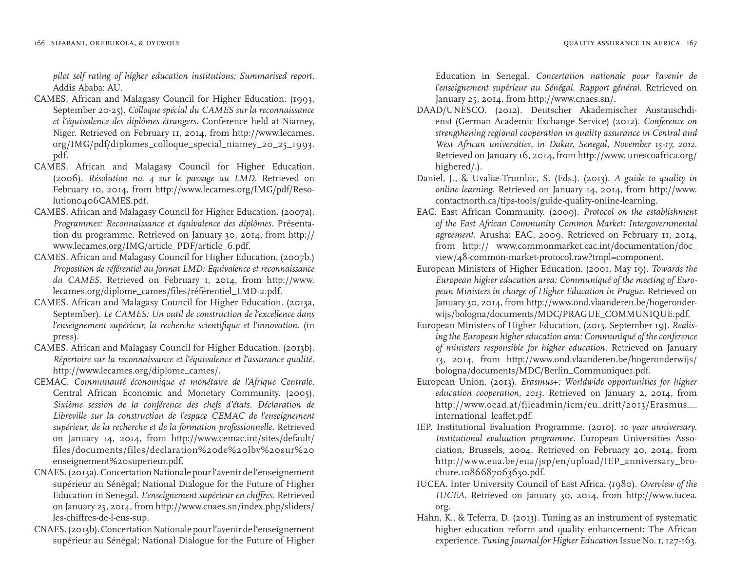*pilot self rating of higher education institutions: Summarised report.* Addis Ababa: AU.

- CAMES. African and Malagasy Council for Higher Education. (1993, September 20-25). *Colloque spécial du CAMES sur la reconnaissance et l'équivalence des diplômes étrangers.* Conference held at Niamey, Niger. Retrieved on February 11, 2014, from http://www.lecames. org/IMG/pdf/diplomes\_colloque\_special\_niamey\_20\_25\_1993. pdf.
- CAMES. African and Malagasy Council for Higher Education. (2006). *Résolution no. 4 sur le passage au LMD.* Retrieved on February 10, 2014, from http://www.lecames.org/IMG/pdf/Resolution0406CAMES.pdf.
- CAMES. African and Malagasy Council for Higher Education. (2007a). *Programmes: Reconnaissance et équivalence des diplômes.* Présentation du programme. Retrieved on January 30, 2014, from http:// www.lecames.org/IMG/article\_PDF/article\_6.pdf.
- CAMES. African and Malagasy Council for Higher Education. (2007b.) *Proposition de référentiel au format LMD: Equivalence et reconnaissance du CAMES.* Retrieved on February 1, 2014, from http://www. lecames.org/diplome\_cames/files/référentiel\_LMD-2.pdf.
- CAMES. African and Malagasy Council for Higher Education. (2013a, September). *Le CAMES: Un outil de construction de l'excellence dans l'enseignement supérieur, la recherche scientifique et l'innovation.* (in press).
- CAMES. African and Malagasy Council for Higher Education. (2013b). *Répertoire sur la reconnaissance et l'équivalence et l'assurance qualité.* http://www.lecames.org/diplome\_cames/.
- CEMAC. *Communauté économique et monétaire de l'Afrique Centrale.* Central African Economic and Monetary Community. (2005). *Sixième session de la conférence des chefs d'états. Déclaration de Libreville sur la construction de l'espace CEMAC de l'enseignement supérieur, de la recherche et de la formation professionnelle.* Retrieved on January 14, 2014, from http://www.cemac.int/sites/default/ files/documents/files/declaration%20de%20lbv%20sur%20 enseignement%20superieur.pdf.
- CNAES. (2013a). Concertation Nationale pour l'avenir de l'enseignement supérieur au Sénégal; National Dialogue for the Future of Higher Education in Senegal. *L'enseignement supérieur en chiffres.* Retrieved on January 25, 2014, from http://www.cnaes.sn/index.php/sliders/ les-chiffres-de-l-ens-sup.
- CNAES. (2013b). Concertation Nationale pour l'avenir de l'enseignement supérieur au Sénégal; National Dialogue for the Future of Higher

Education in Senegal. *Concertation nationale pour l'avenir de l'enseignement supérieur au Sénégal. Rapport général.* Retrieved on January 25, 2014, from http://www.cnaes.sn/.

- DAAD/UNESCO. (2012). Deutscher Akademischer Austauschdienst (German Academic Exchange Service) (2012). *Conference on strengthening regional cooperation in quality assurance in Central and West African universities, in Dakar, Senegal, November 15-17, 2012.*  Retrieved on January 16, 2014, from http://www. unescoafrica.org/ highered/.).
- Daniel, J., & Uvaliæ-Trumbic, S. (Eds.). (2013). *A guide to quality in online learning.* Retrieved on January 14, 2014, from http://www. contactnorth.ca/tips-tools/guide-quality-online-learning.
- EAC. East African Community. (2009). *Protocol on the establishment of the East African Community Common Market: Intergovernmental agreement.* Arusha: EAC, 2009. Retrieved on February 11, 2014, from http:// www.commonmarket.eac.int/documentation/doc\_ view/48-common-market-protocol.raw?tmpl=component.
- European Ministers of Higher Education. (2001, May 19). *Towards the European higher education area: Communiqué of the meeting of European Ministers in charge of Higher Education in Prague*. Retrieved on January 30, 2014, from http://www.ond.vlaanderen.be/hogeronderwijs/bologna/documents/MDC/PRAGUE\_COMMUNIQUE.pdf.
- European Ministers of Higher Education, (2013, September 19). *Realising the European higher education area: Communiqué of the conference of ministers responsible for higher education.* Retrieved on January 13, 2014, from http://www.ond.vlaanderen.be/hogeronderwijs/ bologna/documents/MDC/Berlin\_Communique1.pdf.
- European Union. (2013). *Erasmus+: Worldwide opportunities for higher education cooperation, 2013.* Retrieved on January 2, 2014, from http://www.oead.at/fileadmin/icm/eu\_dritt/2013/Erasmus\_\_ international\_leaflet.pdf.
- IEP. Institutional Evaluation Programme. (2010). *10 year anniversary. Institutional evaluation programme.* European Universities Association, Brussels, 2004. Retrieved on February 20, 2014, from http://www.eua.be/eua/jsp/en/upload/IEP\_anniversary\_brochure.1086687063630.pdf.
- IUCEA. Inter University Council of East Africa. (1980). *Overview of the IUCEA.* Retrieved on January 30, 2014, from http://www.iucea. org.
- Hahn, K., & Teferra, D. (2013). Tuning as an instrument of systematic higher education reform and quality enhancement: The African experience. *Tuning Journal for Higher Education* Issue No. 1, 127-163.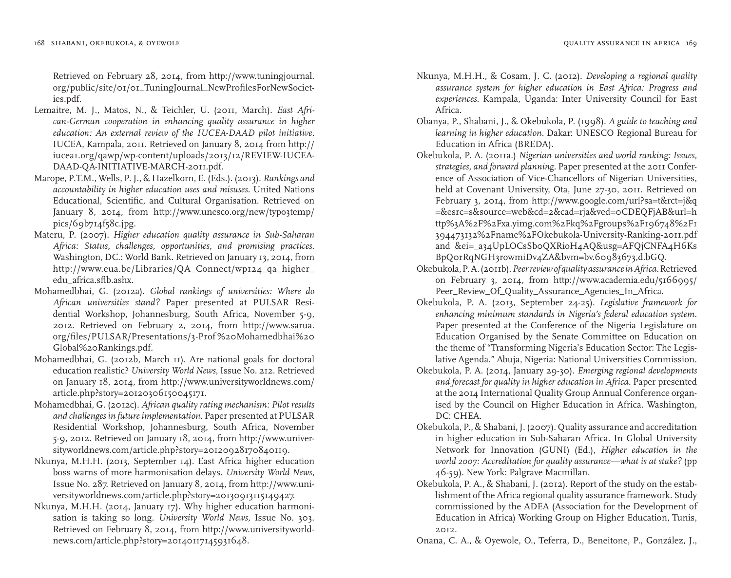Retrieved on February 28, 2014, from http://www.tuningjournal. org/public/site/01/01\_TuningJournal\_NewProfilesForNewSocieties.pdf.

- Lemaitre, M. J., Matos, N., & Teichler, U. (2011, March). *East African-German cooperation in enhancing quality assurance in higher education: An external review of the IUCEA-DAAD pilot initiative.* IUCEA, Kampala, 2011. Retrieved on January 8, 2014 from http:// iucea1.org/qawp/wp-content/uploads/2013/12/REVIEW-IUCEA-DAAD-QA-INITIATIVE-MARCH-2011.pdf.
- Marope, P.T.M., Wells, P. J., & Hazelkorn, E. (Eds.). (2013). *Rankings and accountability in higher education uses and misuses.* United Nations Educational, Scientific, and Cultural Organisation. Retrieved on January 8, 2014, from http://www.unesco.org/new/typo3temp/ pics/69b714f58c.jpg.
- Materu, P. (2007). *Higher education quality assurance in Sub-Saharan Africa: Status, challenges, opportunities, and promising practices.* Washington, DC.: World Bank. Retrieved on January 13, 2014, from http://www.eua.be/Libraries/QA\_Connect/wp124\_qa\_higher\_ edu\_africa.sflb.ashx.
- Mohamedbhai, G. (2012a). *Global rankings of universities: Where do African universities stand?* Paper presented at PULSAR Residential Workshop, Johannesburg, South Africa, November 5-9, 2012. Retrieved on February 2, 2014, from http://www.sarua. org/files/PULSAR/Presentations/3-Prof %20Mohamedbhai%20 Global%20Rankings.pdf.
- Mohamedbhai, G. (2012b, March 11). Are national goals for doctoral education realistic? *University World News*, Issue No. 212. Retrieved on January 18, 2014, from http://www.universityworldnews.com/ article.php?story=20120306150045171.
- Mohamedbhai, G. (2012c). *African quality rating mechanism: Pilot results and challenges in future implementation.* Paper presented at PULSAR Residential Workshop, Johannesburg, South Africa, November 5-9, 2012. Retrieved on January 18, 2014, from http://www.universityworldnews.com/article.php?story=20120928170840119.
- Nkunya, M.H.H. (2013, September 14). East Africa higher education boss warns of more harmonisation delays. *University World News*, Issue No. 287. Retrieved on January 8, 2014, from http://www.universityworldnews.com/article.php?story=20130913115149427.
- Nkunya, M.H.H. (2014, January 17). Why higher education harmonisation is taking so long. *University World News,* Issue No. 303. Retrieved on February 8, 2014, from http://www.universityworldnews.com/article.php?story=20140117145931648.
- Nkunya, M.H.H., & Cosam, J. C. (2012). *Developing a regional quality assurance system for higher education in East Africa: Progress and experiences.* Kampala, Uganda: Inter University Council for East Africa.
- Obanya, P., Shabani, J., & Okebukola, P. (1998). *A guide to teaching and learning in higher education.* Dakar: UNESCO Regional Bureau for Education in Africa (BREDA).
- Okebukola, P. A. (2011a.) *Nigerian universities and world ranking: Issues, strategies, and forward planning.* Paper presented at the 2011 Conference of Association of Vice-Chancellors of Nigerian Universities, held at Covenant University, Ota, June 27-30, 2011. Retrieved on February 3, 2014, from http://www.google.com/url?sa=t&rct=j&q =&esrc=s&source=web&cd=2&cad=rja&ved=0CDEQFjAB&url=h ttp%3A%2F%2Fxa.yimg.com%2Fkq%2Fgroups%2F196748%2F1 394473132%2Fname%2FOkebukola-University-Ranking-2011.pdf and &ei=\_a34UpLOCsSb0QXRioH4AQ&usg=AFQjCNFA4H6Ks BpQ0rRqNGH3rowmiDv4ZA&bvm=bv.60983673,d.bGQ.
- Okebukola, P. A. (2011b). *Peer review of quality assurance in Africa.* Retrieved on February 3, 2014, from http://www.academia.edu/5166995/ Peer\_Review\_Of\_Quality\_Assurance\_Agencies\_In\_Africa.
- Okebukola, P. A. (2013, September 24-25). *Legislative framework for enhancing minimum standards in Nigeria's federal education system.* Paper presented at the Conference of the Nigeria Legislature on Education Organised by the Senate Committee on Education on the theme of "Transforming Nigeria's Education Sector: The Legislative Agenda." Abuja, Nigeria: National Universities Commission.
- Okebukola, P. A. (2014, January 29-30). *Emerging regional developments and forecast for quality in higher education in Africa.* Paper presented at the 2014 International Quality Group Annual Conference organised by the Council on Higher Education in Africa. Washington, DC: CHEA.
- Okebukola, P., & Shabani, J. (2007). Quality assurance and accreditation in higher education in Sub-Saharan Africa. In Global University Network for Innovation (GUNI) (Ed.), *Higher education in the world 2007: Accreditation for quality assurance—what is at stake?* (pp 46-59). New York: Palgrave Macmillan.
- Okebukola, P. A., & Shabani, J. (2012). Report of the study on the establishment of the Africa regional quality assurance framework. Study commissioned by the ADEA (Association for the Development of Education in Africa) Working Group on Higher Education, Tunis, 2012.
- Onana, C. A., & Oyewole, O., Teferra, D., Beneitone, P., González, J.,